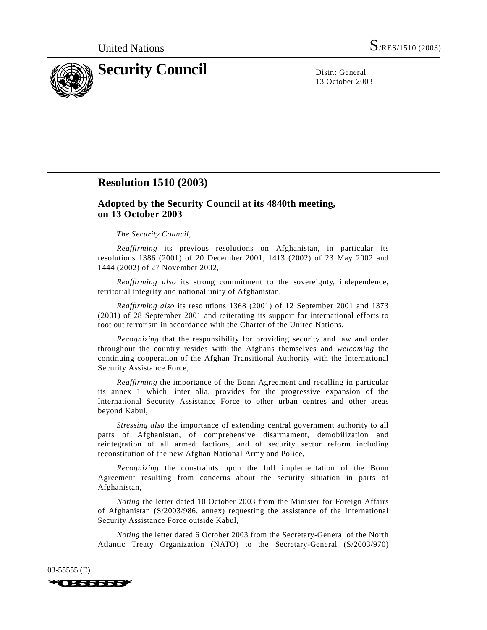

13 October 2003

## **Resolution 1510 (2003)**

## **Adopted by the Security Council at its 4840th meeting, on 13 October 2003**

## *The Security Council*,

*Reaffirming* its previous resolutions on Afghanistan, in particular its resolutions 1386 (2001) of 20 December 2001, 1413 (2002) of 23 May 2002 and 1444 (2002) of 27 November 2002,

*Reaffirming also* its strong commitment to the sovereignty, independence, territorial integrity and national unity of Afghanistan,

*Reaffirming also* its resolutions 1368 (2001) of 12 September 2001 and 1373 (2001) of 28 September 2001 and reiterating its support for international efforts to root out terrorism in accordance with the Charter of the United Nations,

*Recognizing* that the responsibility for providing security and law and order throughout the country resides with the Afghans themselves and *welcoming* the continuing cooperation of the Afghan Transitional Authority with the International Security Assistance Force,

*Reaffirming* the importance of the Bonn Agreement and recalling in particular its annex 1 which, inter alia, provides for the progressive expansion of the International Security Assistance Force to other urban centres and other areas beyond Kabul,

*Stressing also* the importance of extending central government authority to all parts of Afghanistan, of comprehensive disarmament, demobilization and reintegration of all armed factions, and of security sector reform including reconstitution of the new Afghan National Army and Police,

*Recognizing* the constraints upon the full implementation of the Bonn Agreement resulting from concerns about the security situation in parts of Afghanistan,

*Noting* the letter dated 10 October 2003 from the Minister for Foreign Affairs of Afghanistan (S/2003/986, annex) requesting the assistance of the International Security Assistance Force outside Kabul,

*Noting* the letter dated 6 October 2003 from the Secretary-General of the North Atlantic Treaty Organization (NATO) to the Secretary-General (S/2003/970)



03-55555 (E)